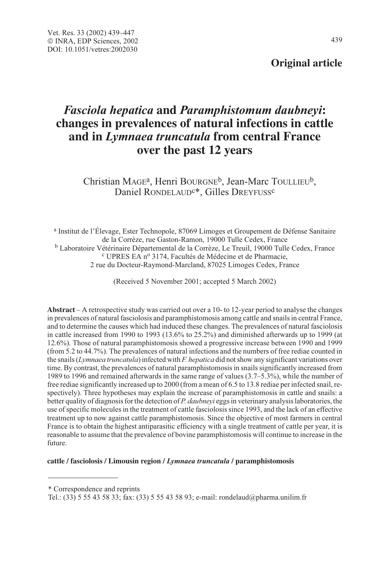## **Original article**

# Fasciola hepatica **and** Paramphistomum daubneyi**: changes in prevalences of natural infections in cattle and in** Lymnaea truncatula **from central France over the past 12 years**

Christian MAGEa, Henri BOURGNEb, Jean-Marc TOULLIEUb, Daniel RONDELAUD<sup>c\*</sup>, Gilles DREYFUSS<sup>c</sup>

<sup>a</sup> Institut de l'Élevage, Ester Technopole, 87069 Limoges et Groupement de Défense Sanitaire de la Corrèze, rue Gaston-Ramon, 19000 Tulle Cedex, France <sup>b</sup> Laboratoire Vétérinaire Départemental de la Corrèze, Le Treuil, 19000 Tulle Cedex, France c UPRES EA n<sup>o</sup> 3174, Facultés de Médecine et de Pharmacie, 2 rue du Docteur-Raymond-Marcland, 87025 Limoges Cedex, France

(Received 5 November 2001; accepted 5 March 2002)

**Abstract** – A retrospective study was carried out over a 10- to 12-year period to analyse the changes in prevalences of natural fasciolosis and paramphistomosis among cattle and snails in central France, and to determine the causes which had induced these changes. The prevalences of natural fasciolosis in cattle increased from 1990 to 1993 (13.6% to 25.2%) and diminished afterwards up to 1999 (at 12.6%). Those of natural paramphistomosis showed a progressive increase between 1990 and 1999 (from 5.2 to 44.7%). The prevalences of natural infections and the numbers of free rediae counted in the snails (Lymnaea truncatula) infected with  $F$ , hepatica did not show any significant variations over time. By contrast, the prevalences of natural paramphistomosis in snails significantly increased from 1989 to 1996 and remained afterwards in the same range of values (3.7–5.3%), while the number of free rediae significantly increased up to 2000 (from a mean of 6.5 to 13.8 rediae per infected snail, respectively). Three hypotheses may explain the increase of paramphistomosis in cattle and snails: a better quality of diagnosis for the detection of P. daubneyi eggs in veterinary analysis laboratories, the use of specific molecules in the treatment of cattle fasciolosis since 1993, and the lack of an effective treatment up to now against cattle paramphistomosis. Since the objective of most farmers in central France is to obtain the highest antiparasitic efficiency with a single treatment of cattle per year, it is reasonable to assume that the prevalence of bovine paramphistomosis will continue to increase in the future.

**cattle / fasciolosis / Limousin region /** Lymnaea truncatula **/ paramphistomosis**

\* Correspondence and reprints

Tel.: (33) 5 55 43 58 33; fax: (33) 5 55 43 58 93; e-mail: rondelaud@pharma.unilim.fr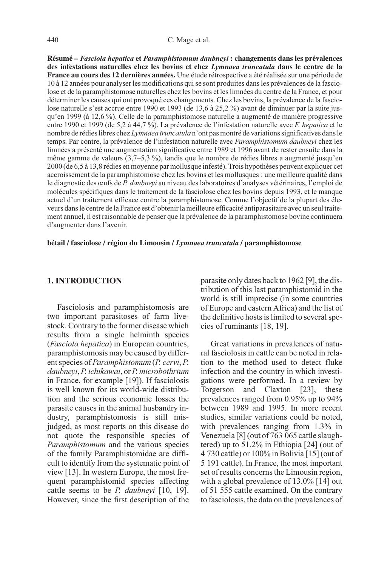**Résumé –** Fasciola hepatica **et** Paramphistomum daubneyi **: changements dans les prévalences des infestations naturelles chez les bovins et chez** Lymnaea truncatula **dans le centre de la France au cours des 12 dernières années.** Une étude rétrospective a été réalisée sur une période de 10 à 12 années pour analyser les modifications qui se sont produites dans les prévalences de la fasciolose et de la paramphistomose naturelles chez les bovins et les limnées du centre de la France, et pour déterminer les causes qui ont provoqué ces changements. Chez les bovins, la prévalence de la fasciolose naturelle s'est accrue entre 1990 et 1993 (de 13,6 à 25,2 %) avant de diminuer par la suite jusqu'en 1999 (à 12,6 %). Celle de la paramphistomose naturelle a augmenté de manière progressive entre 1990 et 1999 (de 5,2 à 44,7 %). La prévalence de l'infestation naturelle avec F. hepatica et le nombre de rédies libres chez Lymnaea truncatula n'ont pas montré de variations significatives dans le temps. Par contre, la prévalence de l'infestation naturelle avec Paramphistomum daubneyi chez les limnées a présenté une augmentation significative entre 1989 et 1996 avant de rester ensuite dans la même gamme de valeurs (3,7–5,3 %), tandis que le nombre de rédies libres a augmenté jusqu'en 2000 (de 6,5 à 13,8 rédies en moyenne par mollusque infesté). Trois hypothèses peuvent expliquer cet accroissement de la paramphistomose chez les bovins et les mollusques : une meilleure qualité dans le diagnostic des œufs de P. daubneyi au niveau des laboratoires d'analyses vétérinaires, l'emploi de molécules spécifiques dans le traitement de la fasciolose chez les bovins depuis 1993, et le manque actuel d'un traitement efficace contre la paramphistomose. Comme l'objectif de la plupart des éleveurs dans le centre de la France est d'obtenir la meilleure efficacité antiparasitaire avec un seul traitement annuel, il est raisonnable de penser que la prévalence de la paramphistomose bovine continuera d'augmenter dans l'avenir.

**bétail / fasciolose / région du Limousin /** Lymnaea truncatula **/ paramphistomose**

#### **1. INTRODUCTION**

Fasciolosis and paramphistomosis are two important parasitoses of farm livestock. Contrary to the former disease which results from a single helminth species (Fasciola hepatica) in European countries, paramphistomosis may be caused by different species of Paramphistomum (P. cervi, P. daubneyi, P. ichikawai, or P. microbothrium in France, for example [19]). If fasciolosis is well known for its world-wide distribution and the serious economic losses the parasite causes in the animal husbandry industry, paramphistomosis is still misjudged, as most reports on this disease do not quote the responsible species of Paramphistomum and the various species of the family Paramphistomidae are difficult to identify from the systematic point of view [13]. In western Europe, the most frequent paramphistomid species affecting cattle seems to be P. daubneyi [10, 19]. However, since the first description of the parasite only dates back to 1962 [9], the distribution of this last paramphistomid in the world is still imprecise (in some countries of Europe and eastern Africa) and the list of the definitive hosts is limited to several species of ruminants [18, 19].

Great variations in prevalences of natural fasciolosis in cattle can be noted in relation to the method used to detect fluke infection and the country in which investigations were performed. In a review by Torgerson and Claxton [23], these prevalences ranged from 0.95% up to 94% between 1989 and 1995. In more recent studies, similar variations could be noted, with prevalences ranging from 1.3% in Venezuela [8] (out of 763 065 cattle slaughtered) up to 51.2% in Ethiopia [24] (out of 4 730 cattle) or 100% in Bolivia [15] (out of 5 191 cattle). In France, the most important set of results concerns the Limousin region, with a global prevalence of 13.0% [14] out of 51 555 cattle examined. On the contrary to fasciolosis, the data on the prevalences of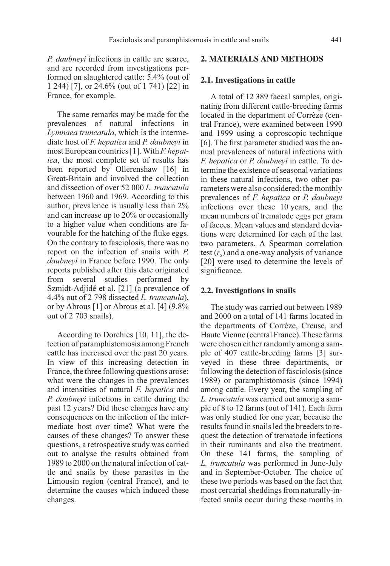P. daubneyi infections in cattle are scarce, and are recorded from investigations performed on slaughtered cattle: 5.4% (out of 1 244) [7], or 24.6% (out of 1 741) [22] in France, for example.

The same remarks may be made for the prevalences of natural infections in Lymnaea truncatula, which is the intermediate host of F. hepatica and P. daubneyi in most European countries [1]. With  $F$ . hepatica, the most complete set of results has been reported by Ollerenshaw [16] in Great-Britain and involved the collection and dissection of over 52 000 L. truncatula between 1960 and 1969. According to this author, prevalence is usually less than 2% and can increase up to 20% or occasionally to a higher value when conditions are favourable for the hatching of the fluke eggs. On the contrary to fasciolosis, there was no report on the infection of snails with P. daubneyi in France before 1990. The only reports published after this date originated from several studies performed by Szmidt-Adjidé et al. [21] (a prevalence of 4.4% out of 2 798 dissected L. truncatula), or by Abrous [1] or Abrous et al. [4] (9.8% out of 2 703 snails).

According to Dorchies [10, 11], the detection of paramphistomosis among French cattle has increased over the past 20 years. In view of this increasing detection in France, the three following questions arose: what were the changes in the prevalences and intensities of natural F. hepatica and P. daubneyi infections in cattle during the past 12 years? Did these changes have any consequences on the infection of the intermediate host over time? What were the causes of these changes? To answer these questions, a retrospective study was carried out to analyse the results obtained from 1989 to 2000 on the natural infection of cattle and snails by these parasites in the Limousin region (central France), and to determine the causes which induced these changes.

## **2. MATERIALS AND METHODS**

### **2.1. Investigations in cattle**

A total of 12 389 faecal samples, originating from different cattle-breeding farms located in the department of Corrèze (central France), were examined between 1990 and 1999 using a coproscopic technique [6]. The first parameter studied was the annual prevalences of natural infections with F. hepatica or P. daubneyi in cattle. To determine the existence of seasonal variations in these natural infections, two other parameters were also considered: the monthly prevalences of F. hepatica or P. daubneyi infections over these 10 years, and the mean numbers of trematode eggs per gram of faeces. Mean values and standard deviations were determined for each of the last two parameters. A Spearman correlation test  $(r<sub>s</sub>)$  and a one-way analysis of variance [20] were used to determine the levels of significance.

#### **2.2. Investigations in snails**

The study was carried out between 1989 and 2000 on a total of 141 farms located in the departments of Corrèze, Creuse, and Haute Vienne (central France). These farms were chosen either randomly among a sample of 407 cattle-breeding farms [3] surveyed in these three departments, or following the detection of fasciolosis (since 1989) or paramphistomosis (since 1994) among cattle. Every year, the sampling of L. truncatula was carried out among a sample of 8 to 12 farms (out of 141). Each farm was only studied for one year, because the results found in snails led the breeders to request the detection of trematode infections in their ruminants and also the treatment. On these 141 farms, the sampling of L. truncatula was performed in June-July and in September-October. The choice of these two periods was based on the fact that most cercarial sheddings from naturally-infected snails occur during these months in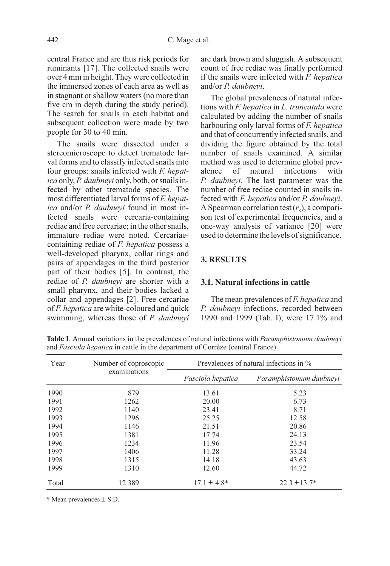central France and are thus risk periods for ruminants [17]. The collected snails were over 4 mm in height. They were collected in the immersed zones of each area as well as in stagnant or shallow waters (no more than five cm in depth during the study period). The search for snails in each habitat and subsequent collection were made by two people for 30 to 40 min.

The snails were dissected under a stereomicroscope to detect trematode larval forms and to classify infected snails into four groups: snails infected with F. hepatica only, P. daubneyi only, both, or snails infected by other trematode species. The most differentiated larval forms of F. hepatica and/or P. daubneyi found in most infected snails were cercaria-containing rediae and free cercariae; in the other snails, immature rediae were noted. Cercariaecontaining rediae of F. hepatica possess a well-developed pharynx, collar rings and pairs of appendages in the third posterior part of their bodies [5]. In contrast, the rediae of P. daubneyi are shorter with a small pharynx, and their bodies lacked a collar and appendages [2]. Free-cercariae of *F. hepatica* are white-coloured and quick swimming, whereas those of P. daubneyi are dark brown and sluggish. A subsequent count of free rediae was finally performed if the snails were infected with F. hepatica and/or P. daubneyi.

The global prevalences of natural infections with F. hepatica in L. truncatula were calculated by adding the number of snails harbouring only larval forms of F. hepatica and that of concurrently infected snails, and dividing the figure obtained by the total number of snails examined. A similar method was used to determine global prevalence of natural infections with P. daubneyi. The last parameter was the number of free rediae counted in snails infected with *F. hepatica* and/or *P. daubneyi.* A Spearman correlation test  $(r<sub>s</sub>)$ , a comparison test of experimental frequencies, and a one-way analysis of variance [20] were used to determine the levels of significance.

## **3. RESULTS**

#### **3.1. Natural infections in cattle**

The mean prevalences of F. hepatica and P. daubneyi infections, recorded between 1990 and 1999 (Tab. I), were 17.1% and

| Year  | Number of coproscopic<br>examinations | Prevalences of natural infections in % |                         |  |
|-------|---------------------------------------|----------------------------------------|-------------------------|--|
|       |                                       | <i>Fasciola hepatica</i>               | Paramphistomum daubneyi |  |
| 1990  | 879                                   | 13.61                                  | 5.23                    |  |
| 1991  | 1262                                  | 20.00                                  | 6.73                    |  |
| 1992  | 1140                                  | 23.41                                  | 8.71                    |  |
| 1993  | 1296                                  | 25.25                                  | 12.58                   |  |
| 1994  | 1146                                  | 21.51                                  | 20.86                   |  |
| 1995  | 1381                                  | 17.74                                  | 24.13                   |  |
| 1996  | 1234                                  | 11.96                                  | 23.54                   |  |
| 1997  | 1406                                  | 11.28                                  | 33.24                   |  |
| 1998  | 1315                                  | 14.18                                  | 43.63                   |  |
| 1999  | 1310                                  | 12.60                                  | 44.72                   |  |
| Total | 12 3 8 9                              | $17.1 \pm 4.8*$                        | $22.3 \pm 13.7*$        |  |

**Table I**. Annual variations in the prevalences of natural infections with Paramphistomum daubneyi and Fasciola hepatica in cattle in the department of Corrèze (central France).

\* Mean prevalences ± S.D.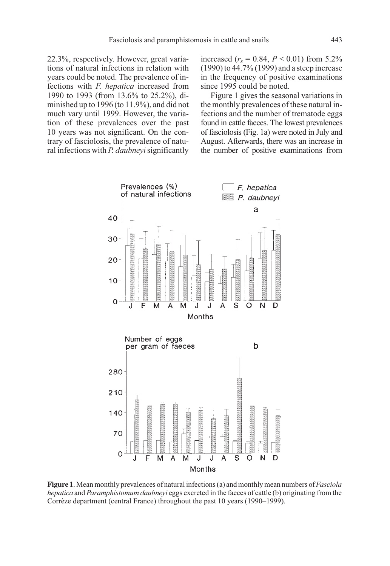22.3%, respectively. However, great variations of natural infections in relation with years could be noted. The prevalence of infections with F. hepatica increased from 1990 to 1993 (from 13.6% to 25.2%), diminished up to 1996 (to 11.9%), and did not much vary until 1999. However, the variation of these prevalences over the past 10 years was not significant. On the contrary of fasciolosis, the prevalence of natural infections with *P. daubneyi* significantly increased ( $r_s = 0.84$ ,  $P < 0.01$ ) from 5.2% (1990) to 44.7% (1999) and a steep increase in the frequency of positive examinations since 1995 could be noted.

Figure 1 gives the seasonal variations in the monthly prevalences of these natural infections and the number of trematode eggs found in cattle faeces. The lowest prevalences of fasciolosis (Fig. 1a) were noted in July and August. Afterwards, there was an increase in the number of positive examinations from



**Figure 1**. Mean monthly prevalences of natural infections (a) and monthly mean numbers of *Fasciola* hepatica and Paramphistomum daubneyi eggs excreted in the faeces of cattle (b) originating from the Corrèze department (central France) throughout the past 10 years (1990–1999).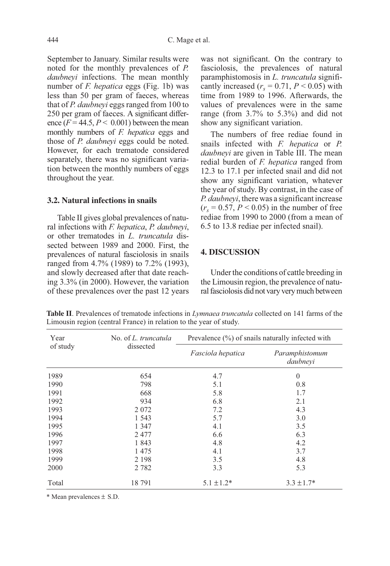September to January. Similar results were noted for the monthly prevalences of P. daubneyi infections. The mean monthly number of  $F$ . hepatica eggs (Fig. 1b) was less than 50 per gram of faeces, whereas that of P. daubneyi eggs ranged from 100 to 250 per gram of faeces. A significant difference  $(F = 44.5, P < 0.001)$  between the mean monthly numbers of *F. hepatica* eggs and those of *P. daubneyi* eggs could be noted. However, for each trematode considered separately, there was no significant variation between the monthly numbers of eggs throughout the year.

#### **3.2. Natural infections in snails**

Table II gives global prevalences of natural infections with *F. hepatica*, *P. daubneyi*, or other trematodes in L. truncatula dissected between 1989 and 2000. First, the prevalences of natural fasciolosis in snails ranged from 4.7% (1989) to 7.2% (1993), and slowly decreased after that date reaching 3.3% (in 2000). However, the variation of these prevalences over the past 12 years was not significant. On the contrary to fasciolosis, the prevalences of natural paramphistomosis in L. truncatula significantly increased  $(r_s = 0.71, P \le 0.05)$  with time from 1989 to 1996. Afterwards, the values of prevalences were in the same range (from 3.7% to 5.3%) and did not show any significant variation.

The numbers of free rediae found in snails infected with F. hepatica or P. daubnevi are given in Table III. The mean redial burden of F. hepatica ranged from 12.3 to 17.1 per infected snail and did not show any significant variation, whatever the year of study. By contrast, in the case of P. daubneyi, there was a significant increase  $(r<sub>s</sub> = 0.57, P < 0.05)$  in the number of free rediae from 1990 to 2000 (from a mean of 6.5 to 13.8 rediae per infected snail).

### **4. DISCUSSION**

Under the conditions of cattle breeding in the Limousin region, the prevalence of natural fasciolosis did not vary very much between

Year of study No. of L. truncatula dissected Prevalence (%) of snails naturally infected with Fasciola hepatica Paramphistomum daubneyi 1989 1990 1991 1992 1993 1994 1995 1996 1997 1998 1999 2000 654 798 668 934 2 072 1 543 1 347 2 477 1 843 1 475 2 198 2 782 4.7 5.1 5.8 6.8 7.2 5.7 4.1 6.6 4.8 4.1 3.5 3.3  $\overline{0}$ 0.8 1.7 2.1 4.3 3.0 3.5 6.3 4.2 3.7 4.8 5.3 Total  $18\ 791$   $5.1 \pm 1.2^*$   $3.3 \pm 1.7^*$ 

**Table II**. Prevalences of trematode infections in *Lymnaea truncatula* collected on 141 farms of the Limousin region (central France) in relation to the year of study.

\* Mean prevalences ± S.D.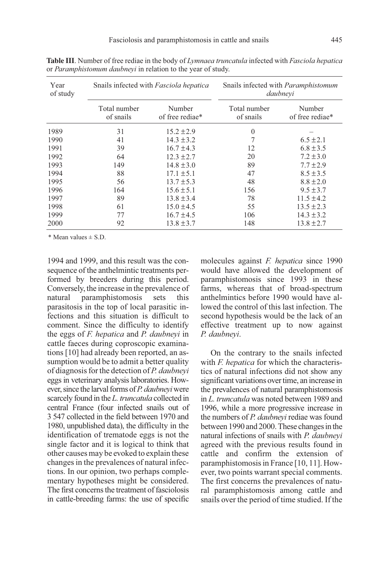| Year<br>of study | Snails infected with Fasciola hepatica |                           | Snails infected with <i>Paramphistomum</i><br>daubnevi |                           |
|------------------|----------------------------------------|---------------------------|--------------------------------------------------------|---------------------------|
|                  | Total number<br>of snails              | Number<br>of free rediae* | Total number<br>of snails                              | Number<br>of free rediae* |
| 1989             | 31                                     | $15.2 \pm 2.9$            | $\mathbf{0}$                                           |                           |
| 1990             | 41                                     | $14.3 \pm 3.2$            |                                                        | $6.5 \pm 2.1$             |
| 1991             | 39                                     | $16.7 \pm 4.3$            | 12                                                     | $6.8 \pm 3.5$             |
| 1992             | 64                                     | $12.3 \pm 2.7$            | 20                                                     | $7.2 \pm 3.0$             |
| 1993             | 149                                    | $14.8 \pm 3.0$            | 89                                                     | $7.7 \pm 2.9$             |
| 1994             | 88                                     | $17.1 \pm 5.1$            | 47                                                     | $8.5 \pm 3.5$             |
| 1995             | 56                                     | $13.7 \pm 5.3$            | 48                                                     | $8.8 \pm 2.0$             |
| 1996             | 164                                    | $15.6 \pm 5.1$            | 156                                                    | $9.5 \pm 3.7$             |
| 1997             | 89                                     | $13.8 \pm 3.4$            | 78                                                     | $11.5 \pm 4.2$            |
| 1998             | 61                                     | $15.0 \pm 4.5$            | 55                                                     | $13.5 \pm 2.3$            |
| 1999             | 77                                     | $16.7 \pm 4.5$            | 106                                                    | $14.3 \pm 3.2$            |
| 2000             | 92                                     | $13.8 \pm 3.7$            | 148                                                    | $13.8 \pm 2.7$            |

**Table III**. Number of free rediae in the body of Lymnaea truncatula infected with Fasciola hepatica or Paramphistomum daubneyi in relation to the year of study.

\* Mean values ± S.D.

1994 and 1999, and this result was the consequence of the anthelmintic treatments performed by breeders during this period. Conversely, the increase in the prevalence of natural paramphistomosis sets this parasitosis in the top of local parasitic infections and this situation is difficult to comment. Since the difficulty to identify the eggs of F. hepatica and P. daubneyi in cattle faeces during coproscopic examinations [10] had already been reported, an assumption would be to admit a better quality of diagnosis for the detection of P. daubneyi eggs in veterinary analysis laboratories. However, since the larval forms of P. daubneyi were scarcely found in the L. truncatula collected in central France (four infected snails out of 3 547 collected in the field between 1970 and 1980, unpublished data), the difficulty in the identification of trematode eggs is not the single factor and it is logical to think that other causes may be evoked to explain these changes in the prevalences of natural infections. In our opinion, two perhaps complementary hypotheses might be considered. The first concerns the treatment of fasciolosis in cattle-breeding farms: the use of specific molecules against *F. hepatica* since 1990 would have allowed the development of paramphistomosis since 1993 in these farms, whereas that of broad-spectrum anthelmintics before 1990 would have allowed the control of this last infection. The second hypothesis would be the lack of an effective treatment up to now against P. daubneyi.

On the contrary to the snails infected with *F. hepatica* for which the characteristics of natural infections did not show any significant variations over time, an increase in the prevalences of natural paramphistomosis in L. truncatula was noted between 1989 and 1996, while a more progressive increase in the numbers of P. daubneyi rediae was found between 1990 and 2000. These changes in the natural infections of snails with P. daubneyi agreed with the previous results found in cattle and confirm the extension of paramphistomosis in France [10, 11]. However, two points warrant special comments. The first concerns the prevalences of natural paramphistomosis among cattle and snails over the period of time studied. If the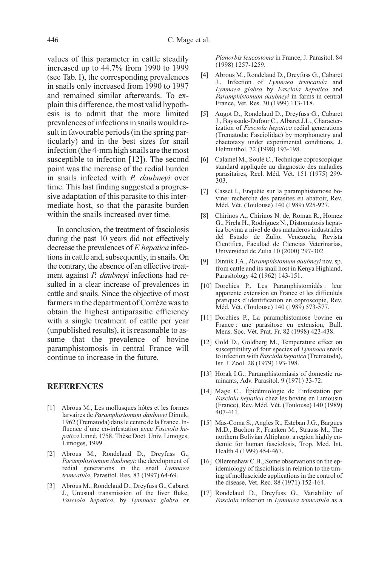values of this parameter in cattle steadily increased up to 44.7% from 1990 to 1999 (see Tab. I), the corresponding prevalences in snails only increased from 1990 to 1997 and remained similar afterwards. To explain this difference, the most valid hypothesis is to admit that the more limited prevalences of infections in snails would result in favourable periods (in the spring particularly) and in the best sizes for snail infection (the 4-mm high snails are the most susceptible to infection [12]). The second point was the increase of the redial burden in snails infected with P. daubneyi over time. This last finding suggested a progressive adaptation of this parasite to this intermediate host, so that the parasite burden within the snails increased over time.

In conclusion, the treatment of fasciolosis during the past 10 years did not effectively decrease the prevalences of F. hepatica infections in cattle and, subsequently, in snails. On the contrary, the absence of an effective treatment against *P. daubnevi* infections had resulted in a clear increase of prevalences in cattle and snails. Since the objective of most farmers in the department of Corrèze was to obtain the highest antiparasitic efficiency with a single treatment of cattle per year (unpublished results), it is reasonable to assume that the prevalence of bovine paramphistomosis in central France will continue to increase in the future.

#### **REFERENCES**

- [1] Abrous M., Les mollusques hôtes et les formes larvaires de Paramphistomum daubnevi Dinnik, 1962 (Trematoda) dans le centre de la France. Influence d'une co-infestation avec Fasciola hepatica Linné, 1758. Thèse Doct. Univ. Limoges, Limoges, 1999.
- [2] Abrous M., Rondelaud D., Dreyfuss G., Paramphistomum daubneyi: the development of redial generations in the snail Lymnaea truncatula, Parasitol. Res. 83 (1997) 64-69.
- [3] Abrous M., Rondelaud D., Dreyfuss G., Cabaret J., Unusual transmission of the liver fluke, Fasciola hepatica, by Lymnaea glabra or

Planorbis leucostoma in France, J. Parasitol. 84 (1998) 1257-1259.

- [4] Abrous M., Rondelaud D., Dreyfuss G., Cabaret J., Infection of Lymnaea truncatula and Lymnaea glabra by Fasciola hepatica and Paramphistomum daubneyi in farms in central France, Vet. Res. 30 (1999) 113-118.
- [5] Augot D., Rondelaud D., Dreyfuss G., Cabaret J., Bayssade-Dufour C., Albaret J.L., Characterization of Fasciola hepatica redial generations (Trematoda: Fasciolidae) by morphometry and chaetotaxy under experimental conditions, J. Helminthol. 72 (1998) 193-198.
- [6] Calamel M., Soulé C., Technique coproscopique standard appliquée au diagnostic des maladies parasitaires, Recl. Méd. Vét. 151 (1975) 299- 303.
- [7] Casset I., Enquête sur la paramphistomose bovine: recherche des parasites en abattoir, Rev. Méd. Vét. (Toulouse) 140 (1989) 925-927.
- [8] Chirinos A., Chirinos N. de, Roman R., Homez G., Pirela H., Rodriguez N., Distomatosis hepatica bovina a nivel de dos mataderos industriales del Estado de Zulio, Venezuela, Revista Cientifica, Facultad de Ciencias Veterinarias, Universidad de Zulia 10 (2000) 297-302.
- [9] Dinnik J.A., Paramphistomum daubneyi nov. sp. from cattle and its snail host in Kenya Highland, Parasitology 42 (1962) 143-151.
- [10] Dorchies P., Les Paramphistomidés : leur apparente extension en France et les difficultés pratiques d'identification en coproscopie, Rev. Méd. Vét. (Toulouse) 140 (1989) 573-577.
- [11] Dorchies P., La paramphistomose bovine en France : une parasitose en extension, Bull. Mens. Soc. Vét. Prat. Fr. 82 (1998) 423-438.
- [12] Gold D., Goldberg M., Temperature effect on susceptibility of four species of *Lymnaea* snails to infection with Fasciola hepatica (Trematoda), Isr. J. Zool. 28 (1979) 193-198.
- [13] Horak I.G., Paramphistomiasis of domestic ruminants, Adv. Parasitol. 9 (1971) 33-72.
- [14] Mage C., Épidémiologie de l'infestation par Fasciola hepatica chez les bovins en Limousin (France), Rev. Méd. Vét. (Toulouse) 140 (1989) 407-411.
- [15] Mas-Coma S., Angles R., Esteban J.G., Bargues M.D., Buchon P., Franken M., Strauss M., The northern Bolivian Altiplano: a region highly endemic for human fasciolosis, Trop. Med. Int. Health 4 (1999) 454-467.
- [16] Ollerenshaw C.B., Some observations on the epidemiology of fascioliasis in relation to the timing of molluscicide applications in the control of the disease, Vet. Rec. 88 (1971) 152-164.
- [17] Rondelaud D., Dreyfuss G., Variability of Fasciola infection in Lymnaea truncatula as a